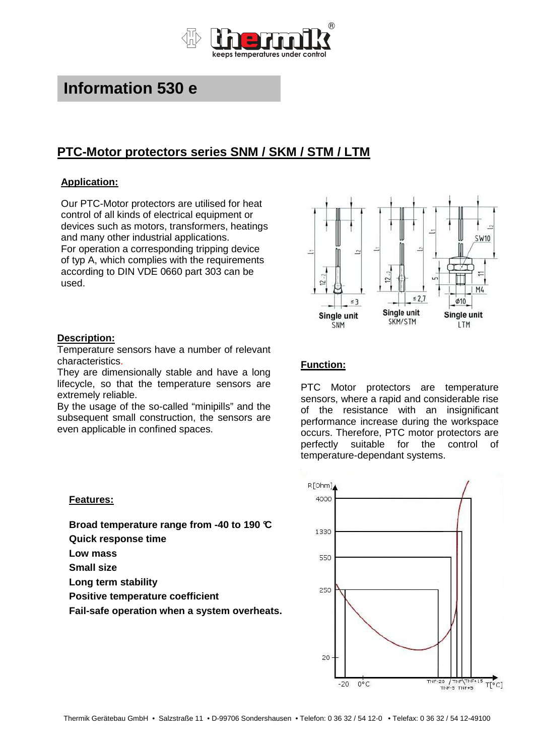

# **Information 530 e**

# **PTC-Motor protectors series SNM / SKM / STM / LTM**

## **Application:**

Our PTC-Motor protectors are utilised for heat control of all kinds of electrical equipment or devices such as motors, transformers, heatings and many other industrial applications. For operation a corresponding tripping device of typ A, which complies with the requirements according to DIN VDE 0660 part 303 can be used.



#### **Description:**

Temperature sensors have a number of relevant characteristics.

They are dimensionally stable and have a long lifecycle, so that the temperature sensors are extremely reliable.

By the usage of the so-called "minipills" and the subsequent small construction, the sensors are even applicable in confined spaces.

# **Function:**

PTC Motor protectors are temperature sensors, where a rapid and considerable rise of the resistance with an insignificant performance increase during the workspace occurs. Therefore, PTC motor protectors are perfectly suitable for the control of temperature-dependant systems.



### **Features:**

**Broad temperature range from -40 to 190 °C** 

- **Quick response time**
- **Low mass**
- **Small size**
- **Long term stability**
- **Positive temperature coefficient**
- **Fail-safe operation when a system overheats.**